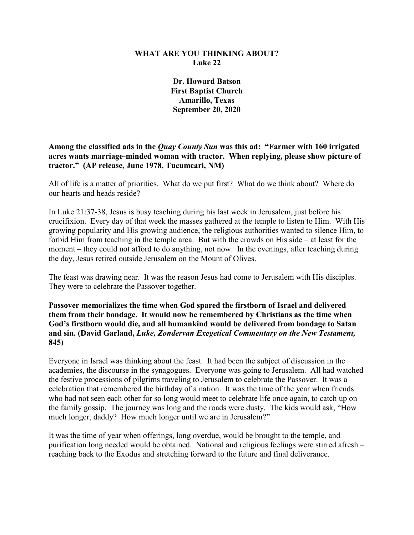## **WHAT ARE YOU THINKING ABOUT? Luke 22**

**Dr. Howard Batson First Baptist Church Amarillo, Texas September 20, 2020**

**Among the classified ads in the** *Quay County Sun* **was this ad: "Farmer with 160 irrigated acres wants marriage-minded woman with tractor. When replying, please show picture of tractor." (AP release, June 1978, Tucumcari, NM)**

All of life is a matter of priorities. What do we put first? What do we think about? Where do our hearts and heads reside?

In Luke 21:37-38, Jesus is busy teaching during his last week in Jerusalem, just before his crucifixion. Every day of that week the masses gathered at the temple to listen to Him. With His growing popularity and His growing audience, the religious authorities wanted to silence Him, to forbid Him from teaching in the temple area. But with the crowds on His side – at least for the moment – they could not afford to do anything, not now. In the evenings, after teaching during the day, Jesus retired outside Jerusalem on the Mount of Olives.

The feast was drawing near. It was the reason Jesus had come to Jerusalem with His disciples. They were to celebrate the Passover together.

**Passover memorializes the time when God spared the firstborn of Israel and delivered them from their bondage. It would now be remembered by Christians as the time when God's firstborn would die, and all humankind would be delivered from bondage to Satan and sin. (David Garland,** *Luke, Zondervan Exegetical Commentary on the New Testament,* **845)**

Everyone in Israel was thinking about the feast. It had been the subject of discussion in the academies, the discourse in the synagogues. Everyone was going to Jerusalem. All had watched the festive processions of pilgrims traveling to Jerusalem to celebrate the Passover. It was a celebration that remembered the birthday of a nation. It was the time of the year when friends who had not seen each other for so long would meet to celebrate life once again, to catch up on the family gossip. The journey was long and the roads were dusty. The kids would ask, "How much longer, daddy? How much longer until we are in Jerusalem?"

It was the time of year when offerings, long overdue, would be brought to the temple, and purification long needed would be obtained. National and religious feelings were stirred afresh – reaching back to the Exodus and stretching forward to the future and final deliverance.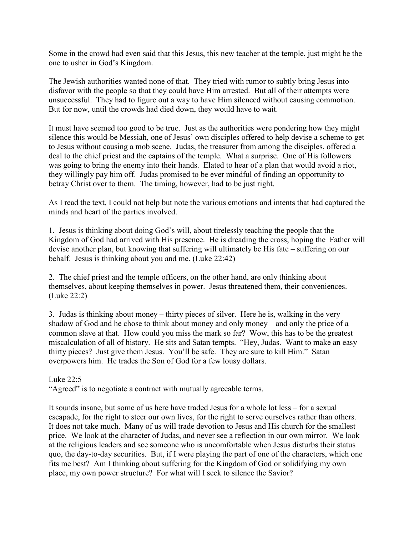Some in the crowd had even said that this Jesus, this new teacher at the temple, just might be the one to usher in God's Kingdom.

The Jewish authorities wanted none of that. They tried with rumor to subtly bring Jesus into disfavor with the people so that they could have Him arrested. But all of their attempts were unsuccessful. They had to figure out a way to have Him silenced without causing commotion. But for now, until the crowds had died down, they would have to wait.

It must have seemed too good to be true. Just as the authorities were pondering how they might silence this would-be Messiah, one of Jesus' own disciples offered to help devise a scheme to get to Jesus without causing a mob scene. Judas, the treasurer from among the disciples, offered a deal to the chief priest and the captains of the temple. What a surprise. One of His followers was going to bring the enemy into their hands. Elated to hear of a plan that would avoid a riot, they willingly pay him off. Judas promised to be ever mindful of finding an opportunity to betray Christ over to them. The timing, however, had to be just right.

As I read the text, I could not help but note the various emotions and intents that had captured the minds and heart of the parties involved.

1. Jesus is thinking about doing God's will, about tirelessly teaching the people that the Kingdom of God had arrived with His presence. He is dreading the cross, hoping the Father will devise another plan, but knowing that suffering will ultimately be His fate – suffering on our behalf. Jesus is thinking about you and me. (Luke 22:42)

2. The chief priest and the temple officers, on the other hand, are only thinking about themselves, about keeping themselves in power. Jesus threatened them, their conveniences. (Luke 22:2)

3. Judas is thinking about money – thirty pieces of silver. Here he is, walking in the very shadow of God and he chose to think about money and only money – and only the price of a common slave at that. How could you miss the mark so far? Wow, this has to be the greatest miscalculation of all of history. He sits and Satan tempts. "Hey, Judas. Want to make an easy thirty pieces? Just give them Jesus. You'll be safe. They are sure to kill Him." Satan overpowers him. He trades the Son of God for a few lousy dollars.

Luke 22:5

"Agreed" is to negotiate a contract with mutually agreeable terms.

It sounds insane, but some of us here have traded Jesus for a whole lot less – for a sexual escapade, for the right to steer our own lives, for the right to serve ourselves rather than others. It does not take much. Many of us will trade devotion to Jesus and His church for the smallest price. We look at the character of Judas, and never see a reflection in our own mirror. We look at the religious leaders and see someone who is uncomfortable when Jesus disturbs their status quo, the day-to-day securities. But, if I were playing the part of one of the characters, which one fits me best? Am I thinking about suffering for the Kingdom of God or solidifying my own place, my own power structure? For what will I seek to silence the Savior?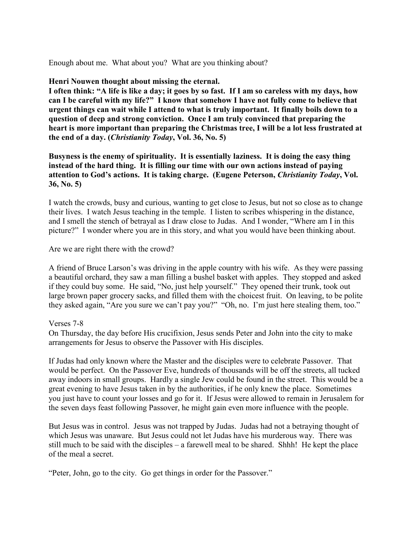Enough about me. What about you? What are you thinking about?

### **Henri Nouwen thought about missing the eternal.**

**I often think: "A life is like a day; it goes by so fast. If I am so careless with my days, how can I be careful with my life?" I know that somehow I have not fully come to believe that urgent things can wait while I attend to what is truly important. It finally boils down to a question of deep and strong conviction. Once I am truly convinced that preparing the heart is more important than preparing the Christmas tree, I will be a lot less frustrated at the end of a day. (***Christianity Today***, Vol. 36, No. 5)**

**Busyness is the enemy of spirituality. It is essentially laziness. It is doing the easy thing instead of the hard thing. It is filling our time with our own actions instead of paying**  attention to God's actions. It is taking charge. (Eugene Peterson, *Christianity Today*, Vol. **36, No. 5)**

I watch the crowds, busy and curious, wanting to get close to Jesus, but not so close as to change their lives. I watch Jesus teaching in the temple. I listen to scribes whispering in the distance, and I smell the stench of betrayal as I draw close to Judas. And I wonder, "Where am I in this picture?" I wonder where you are in this story, and what you would have been thinking about.

### Are we are right there with the crowd?

A friend of Bruce Larson's was driving in the apple country with his wife. As they were passing a beautiful orchard, they saw a man filling a bushel basket with apples. They stopped and asked if they could buy some. He said, "No, just help yourself." They opened their trunk, took out large brown paper grocery sacks, and filled them with the choicest fruit. On leaving, to be polite they asked again, "Are you sure we can't pay you?" "Oh, no. I'm just here stealing them, too."

#### Verses 7-8

On Thursday, the day before His crucifixion, Jesus sends Peter and John into the city to make arrangements for Jesus to observe the Passover with His disciples.

If Judas had only known where the Master and the disciples were to celebrate Passover. That would be perfect. On the Passover Eve, hundreds of thousands will be off the streets, all tucked away indoors in small groups. Hardly a single Jew could be found in the street. This would be a great evening to have Jesus taken in by the authorities, if he only knew the place. Sometimes you just have to count your losses and go for it. If Jesus were allowed to remain in Jerusalem for the seven days feast following Passover, he might gain even more influence with the people.

But Jesus was in control. Jesus was not trapped by Judas. Judas had not a betraying thought of which Jesus was unaware. But Jesus could not let Judas have his murderous way. There was still much to be said with the disciples – a farewell meal to be shared. Shhh! He kept the place of the meal a secret.

"Peter, John, go to the city. Go get things in order for the Passover."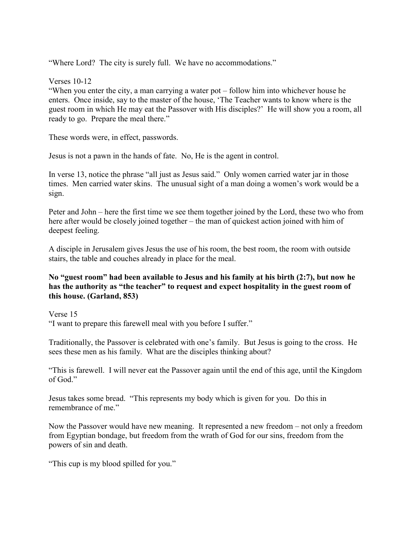"Where Lord? The city is surely full. We have no accommodations."

Verses 10-12

"When you enter the city, a man carrying a water pot – follow him into whichever house he enters. Once inside, say to the master of the house, 'The Teacher wants to know where is the guest room in which He may eat the Passover with His disciples?' He will show you a room, all ready to go. Prepare the meal there."

These words were, in effect, passwords.

Jesus is not a pawn in the hands of fate. No, He is the agent in control.

In verse 13, notice the phrase "all just as Jesus said." Only women carried water jar in those times. Men carried water skins. The unusual sight of a man doing a women's work would be a sign.

Peter and John – here the first time we see them together joined by the Lord, these two who from here after would be closely joined together – the man of quickest action joined with him of deepest feeling.

A disciple in Jerusalem gives Jesus the use of his room, the best room, the room with outside stairs, the table and couches already in place for the meal.

**No "guest room" had been available to Jesus and his family at his birth (2:7), but now he has the authority as "the teacher" to request and expect hospitality in the guest room of this house. (Garland, 853)**

Verse 15

"I want to prepare this farewell meal with you before I suffer."

Traditionally, the Passover is celebrated with one's family. But Jesus is going to the cross. He sees these men as his family. What are the disciples thinking about?

"This is farewell. I will never eat the Passover again until the end of this age, until the Kingdom of God."

Jesus takes some bread. "This represents my body which is given for you. Do this in remembrance of me."

Now the Passover would have new meaning. It represented a new freedom – not only a freedom from Egyptian bondage, but freedom from the wrath of God for our sins, freedom from the powers of sin and death.

"This cup is my blood spilled for you."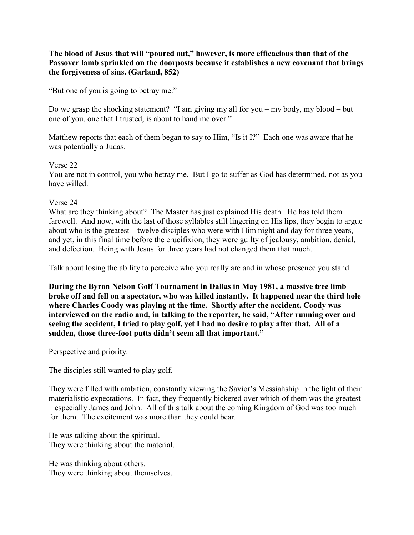# **The blood of Jesus that will "poured out," however, is more efficacious than that of the Passover lamb sprinkled on the doorposts because it establishes a new covenant that brings the forgiveness of sins. (Garland, 852)**

"But one of you is going to betray me."

Do we grasp the shocking statement? "I am giving my all for you – my body, my blood – but one of you, one that I trusted, is about to hand me over."

Matthew reports that each of them began to say to Him, "Is it I?" Each one was aware that he was potentially a Judas.

# Verse 22

You are not in control, you who betray me. But I go to suffer as God has determined, not as you have willed.

# Verse 24

What are they thinking about? The Master has just explained His death. He has told them farewell. And now, with the last of those syllables still lingering on His lips, they begin to argue about who is the greatest – twelve disciples who were with Him night and day for three years, and yet, in this final time before the crucifixion, they were guilty of jealousy, ambition, denial, and defection. Being with Jesus for three years had not changed them that much.

Talk about losing the ability to perceive who you really are and in whose presence you stand.

**During the Byron Nelson Golf Tournament in Dallas in May 1981, a massive tree limb broke off and fell on a spectator, who was killed instantly. It happened near the third hole where Charles Coody was playing at the time. Shortly after the accident, Coody was interviewed on the radio and, in talking to the reporter, he said, "After running over and seeing the accident, I tried to play golf, yet I had no desire to play after that. All of a sudden, those three-foot putts didn't seem all that important."**

Perspective and priority.

The disciples still wanted to play golf.

They were filled with ambition, constantly viewing the Savior's Messiahship in the light of their materialistic expectations. In fact, they frequently bickered over which of them was the greatest – especially James and John. All of this talk about the coming Kingdom of God was too much for them. The excitement was more than they could bear.

He was talking about the spiritual. They were thinking about the material.

He was thinking about others. They were thinking about themselves.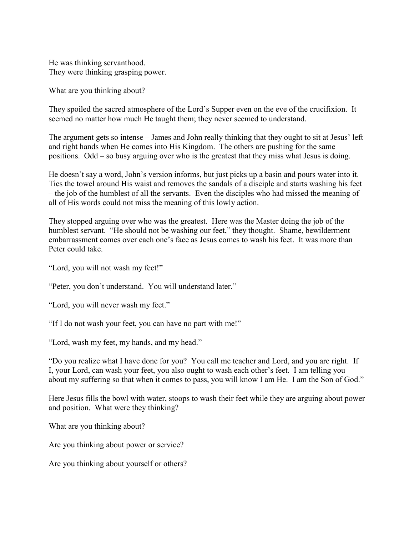He was thinking servanthood. They were thinking grasping power.

What are you thinking about?

They spoiled the sacred atmosphere of the Lord's Supper even on the eve of the crucifixion. It seemed no matter how much He taught them; they never seemed to understand.

The argument gets so intense – James and John really thinking that they ought to sit at Jesus' left and right hands when He comes into His Kingdom. The others are pushing for the same positions. Odd – so busy arguing over who is the greatest that they miss what Jesus is doing.

He doesn't say a word, John's version informs, but just picks up a basin and pours water into it. Ties the towel around His waist and removes the sandals of a disciple and starts washing his feet – the job of the humblest of all the servants. Even the disciples who had missed the meaning of all of His words could not miss the meaning of this lowly action.

They stopped arguing over who was the greatest. Here was the Master doing the job of the humblest servant. "He should not be washing our feet," they thought. Shame, bewilderment embarrassment comes over each one's face as Jesus comes to wash his feet. It was more than Peter could take.

"Lord, you will not wash my feet!"

"Peter, you don't understand. You will understand later."

"Lord, you will never wash my feet."

"If I do not wash your feet, you can have no part with me!"

"Lord, wash my feet, my hands, and my head."

"Do you realize what I have done for you? You call me teacher and Lord, and you are right. If I, your Lord, can wash your feet, you also ought to wash each other's feet. I am telling you about my suffering so that when it comes to pass, you will know I am He. I am the Son of God."

Here Jesus fills the bowl with water, stoops to wash their feet while they are arguing about power and position. What were they thinking?

What are you thinking about?

Are you thinking about power or service?

Are you thinking about yourself or others?